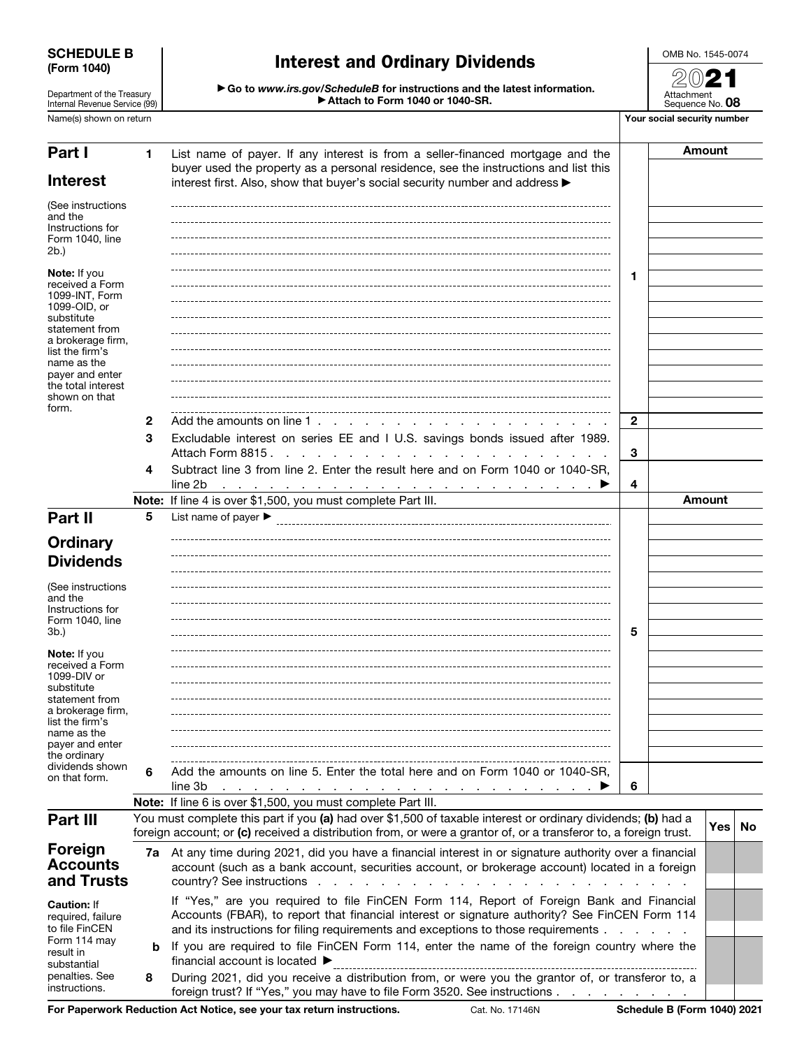| <b>SCHEDULE B</b> |  |
|-------------------|--|
| (Form 1040)       |  |

result in

Department of the Treasury Internal Revenue Service (99)

### Interest and Ordinary Dividends

OMB No. 1545-0074 2021

Attachment

▶ Go to *www.irs.gov/ScheduleB* for instructions and the latest information. ▶ Attach to Form 1040 or 1040-SR.

| Internal Revenue Service (99)                                                                                                                                                                                             |   | Attach to Form 1040 or 1040-SR.                                                                                                                                                                                                                                                                                                                             |              | Sequence No. 08 |                             |           |  |  |
|---------------------------------------------------------------------------------------------------------------------------------------------------------------------------------------------------------------------------|---|-------------------------------------------------------------------------------------------------------------------------------------------------------------------------------------------------------------------------------------------------------------------------------------------------------------------------------------------------------------|--------------|-----------------|-----------------------------|-----------|--|--|
| Name(s) shown on return                                                                                                                                                                                                   |   |                                                                                                                                                                                                                                                                                                                                                             |              |                 | Your social security number |           |  |  |
| Part I<br><b>Interest</b>                                                                                                                                                                                                 | 1 | List name of payer. If any interest is from a seller-financed mortgage and the<br>buyer used the property as a personal residence, see the instructions and list this<br>interest first. Also, show that buyer's social security number and address >                                                                                                       |              |                 | Amount                      |           |  |  |
| (See instructions<br>and the<br>Instructions for<br>Form 1040, line<br>2b.)                                                                                                                                               |   |                                                                                                                                                                                                                                                                                                                                                             |              |                 |                             |           |  |  |
| <b>Note:</b> If you<br>received a Form<br>1099-INT, Form<br>1099-OID, or<br>substitute<br>statement from<br>a brokerage firm,<br>list the firm's<br>name as the<br>payer and enter<br>the total interest<br>shown on that |   |                                                                                                                                                                                                                                                                                                                                                             | 1            |                 |                             |           |  |  |
| form.                                                                                                                                                                                                                     | 2 | Add the amounts on line 1.                                                                                                                                                                                                                                                                                                                                  | $\mathbf{2}$ |                 |                             |           |  |  |
|                                                                                                                                                                                                                           | 3 | Excludable interest on series EE and I U.S. savings bonds issued after 1989.<br>Attach Form 8815.<br>and the state of the                                                                                                                                                                                                                                   | 3            |                 |                             |           |  |  |
|                                                                                                                                                                                                                           | 4 | Subtract line 3 from line 2. Enter the result here and on Form 1040 or 1040-SR,<br>line 2b<br>$\blacksquare$ . The contract of the contract of the contract of the contract of the contract of the contract of the contract of the contract of the contract of the contract of the contract of the contract of the contract of the                          | 4            |                 |                             |           |  |  |
|                                                                                                                                                                                                                           |   | Note: If line 4 is over \$1,500, you must complete Part III.                                                                                                                                                                                                                                                                                                |              |                 | <b>Amount</b>               |           |  |  |
| Part II                                                                                                                                                                                                                   | 5 | List name of payer $\blacktriangleright$                                                                                                                                                                                                                                                                                                                    |              |                 |                             |           |  |  |
| <b>Ordinary</b>                                                                                                                                                                                                           |   |                                                                                                                                                                                                                                                                                                                                                             |              |                 |                             |           |  |  |
| <b>Dividends</b>                                                                                                                                                                                                          |   |                                                                                                                                                                                                                                                                                                                                                             |              |                 |                             |           |  |  |
| (See instructions<br>and the<br>Instructions for<br>Form 1040, line<br>3b.)                                                                                                                                               |   |                                                                                                                                                                                                                                                                                                                                                             | 5            |                 |                             |           |  |  |
| <b>Note:</b> If you<br>received a Form<br>1099-DIV or<br>substitute<br>statement from<br>a brokerage firm,<br>list the firm's<br>name as the<br>payer and enter<br>the ordinary                                           |   |                                                                                                                                                                                                                                                                                                                                                             |              |                 |                             |           |  |  |
| dividends shown<br>on that form.                                                                                                                                                                                          | 6 | Add the amounts on line 5. Enter the total here and on Form 1040 or 1040-SR,<br>line 3b<br>$\mathcal{L}$ . The contract of the contract of the contract of the contract of the $\mathcal{L}$                                                                                                                                                                | 6            |                 |                             |           |  |  |
|                                                                                                                                                                                                                           |   | Note: If line 6 is over \$1,500, you must complete Part III.                                                                                                                                                                                                                                                                                                |              |                 |                             |           |  |  |
| Part III                                                                                                                                                                                                                  |   | You must complete this part if you (a) had over \$1,500 of taxable interest or ordinary dividends; (b) had a<br>foreign account; or (c) received a distribution from, or were a grantor of, or a transferor to, a foreign trust.                                                                                                                            |              |                 | Yes⊺                        | <b>No</b> |  |  |
| Foreign<br><b>Accounts</b><br>and Trusts                                                                                                                                                                                  |   | 7a At any time during 2021, did you have a financial interest in or signature authority over a financial<br>account (such as a bank account, securities account, or brokerage account) located in a foreign<br>country? See instructions<br>the contract of the contract of the contract of the contract of the contract of the contract of the contract of |              |                 |                             |           |  |  |
| <b>Caution: If</b><br>required, failure<br>to file FinCEN                                                                                                                                                                 |   | If "Yes," are you required to file FinCEN Form 114, Report of Foreign Bank and Financial<br>Accounts (FBAR), to report that financial interest or signature authority? See FinCEN Form 114<br>and its instructions for filing requirements and exceptions to those requirements                                                                             |              |                 |                             |           |  |  |

For Paperwork Reduction Act Notice, see your tax return instructions. Cat. No. 17146N Schedule B (Form 1040) 2021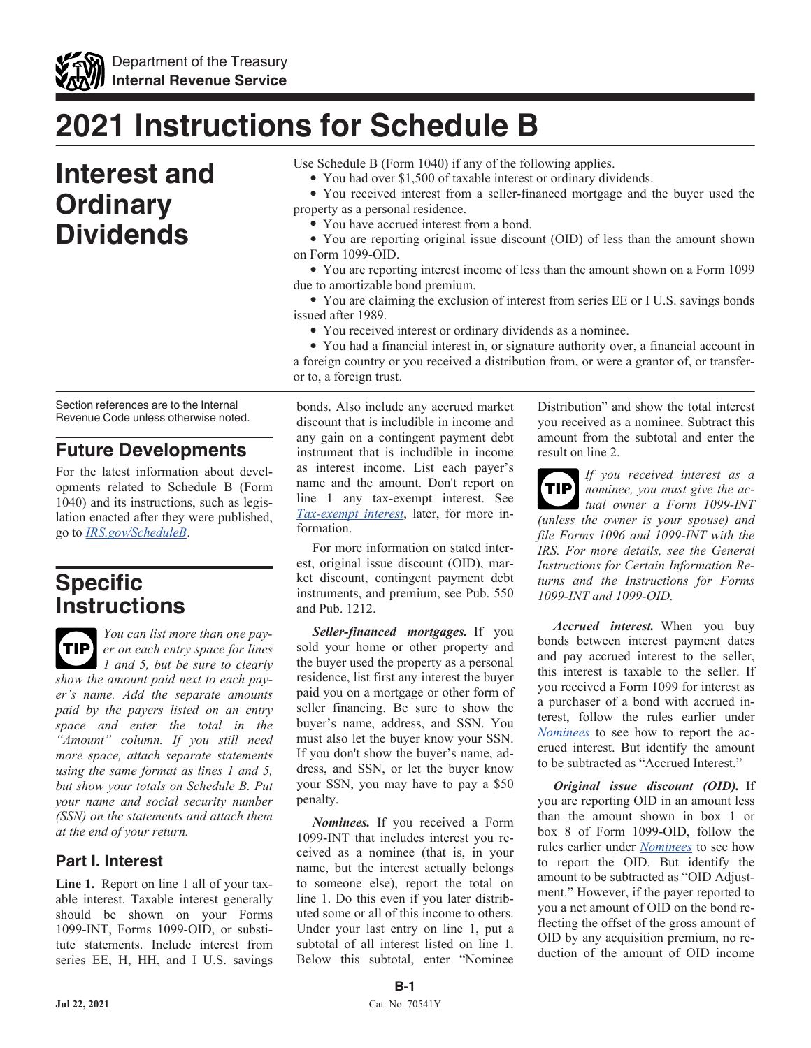

# **2021 Instructions for Schedule B**

## **Interest and Ordinary Dividends**

Section references are to the Internal Revenue Code unless otherwise noted.

### **Future Developments**

For the latest information about developments related to Schedule B (Form 1040) and its instructions, such as legislation enacted after they were published, go to *[IRS.gov/ScheduleB](https://www.IRS.gov/ScheduleB)*.

### **Specific Instructions**

*You can list more than one payer on each entry space for lines 1 and 5, but be sure to clearly show the amount paid next to each payer's name. Add the separate amounts paid by the payers listed on an entry space and enter the total in the "Amount" column. If you still need more space, attach separate statements using the same format as lines 1 and 5, but show your totals on Schedule B. Put your name and social security number (SSN) on the statements and attach them at the end of your return.* **TIP**

### **Part I. Interest**

**Line 1.** Report on line 1 all of your taxable interest. Taxable interest generally should be shown on your Forms 1099-INT, Forms 1099-OID, or substitute statements. Include interest from series EE, H, HH, and I U.S. savings Use Schedule B (Form 1040) if any of the following applies.

• You had over \$1,500 of taxable interest or ordinary dividends.

• You received interest from a seller-financed mortgage and the buyer used the property as a personal residence.

• You have accrued interest from a bond.

• You are reporting original issue discount (OID) of less than the amount shown on Form 1099-OID.

• You are reporting interest income of less than the amount shown on a Form 1099 due to amortizable bond premium.

• You are claiming the exclusion of interest from series EE or I U.S. savings bonds issued after 1989.

• You received interest or ordinary dividends as a nominee.

• You had a financial interest in, or signature authority over, a financial account in a foreign country or you received a distribution from, or were a grantor of, or transferor to, a foreign trust.

bonds. Also include any accrued market discount that is includible in income and any gain on a contingent payment debt instrument that is includible in income as interest income. List each payer's name and the amount. Don't report on line 1 any tax-exempt interest. See *Tax-exempt interest*, later, for more information.

For more information on stated interest, original issue discount (OID), market discount, contingent payment debt instruments, and premium, see Pub. 550 and Pub. 1212.

*Seller-financed mortgages.* If you sold your home or other property and the buyer used the property as a personal residence, list first any interest the buyer paid you on a mortgage or other form of seller financing. Be sure to show the buyer's name, address, and SSN. You must also let the buyer know your SSN. If you don't show the buyer's name, address, and SSN, or let the buyer know your SSN, you may have to pay a \$50 penalty.

*Nominees.* If you received a Form 1099-INT that includes interest you received as a nominee (that is, in your name, but the interest actually belongs to someone else), report the total on line 1. Do this even if you later distributed some or all of this income to others. Under your last entry on line 1, put a subtotal of all interest listed on line 1. Below this subtotal, enter "Nominee

Distribution" and show the total interest you received as a nominee. Subtract this amount from the subtotal and enter the result on line 2.

*If you received interest as a nominee, you must give the actual owner a Form 1099-INT (unless the owner is your spouse) and file Forms 1096 and 1099-INT with the IRS. For more details, see the General Instructions for Certain Information Returns and the Instructions for Forms 1099-INT and 1099-OID.* **TIP**

*Accrued interest.* When you buy bonds between interest payment dates and pay accrued interest to the seller, this interest is taxable to the seller. If you received a Form 1099 for interest as a purchaser of a bond with accrued interest, follow the rules earlier under *Nominees* to see how to report the accrued interest. But identify the amount to be subtracted as "Accrued Interest."

*Original issue discount (OID).* If you are reporting OID in an amount less than the amount shown in box 1 or box 8 of Form 1099-OID, follow the rules earlier under *Nominees* to see how to report the OID. But identify the amount to be subtracted as "OID Adjustment." However, if the payer reported to you a net amount of OID on the bond reflecting the offset of the gross amount of OID by any acquisition premium, no reduction of the amount of OID income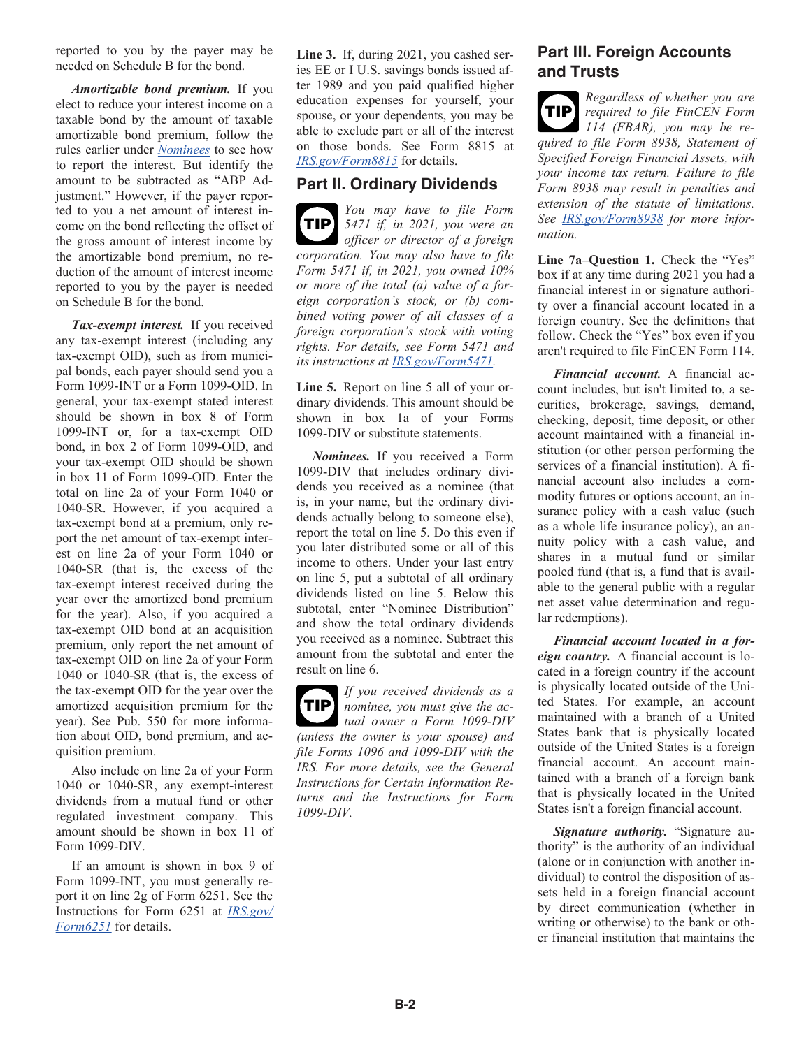reported to you by the payer may be needed on Schedule B for the bond.

*Amortizable bond premium.* If you elect to reduce your interest income on a taxable bond by the amount of taxable amortizable bond premium, follow the rules earlier under *Nominees* to see how to report the interest. But identify the amount to be subtracted as "ABP Adjustment." However, if the payer reported to you a net amount of interest income on the bond reflecting the offset of the gross amount of interest income by the amortizable bond premium, no reduction of the amount of interest income reported to you by the payer is needed on Schedule B for the bond.

*Tax-exempt interest.* If you received any tax-exempt interest (including any tax-exempt OID), such as from municipal bonds, each payer should send you a Form 1099-INT or a Form 1099-OID. In general, your tax-exempt stated interest should be shown in box 8 of Form 1099-INT or, for a tax-exempt OID bond, in box 2 of Form 1099-OID, and your tax-exempt OID should be shown in box 11 of Form 1099-OID. Enter the total on line 2a of your Form 1040 or 1040-SR. However, if you acquired a tax-exempt bond at a premium, only report the net amount of tax-exempt interest on line 2a of your Form 1040 or 1040-SR (that is, the excess of the tax-exempt interest received during the year over the amortized bond premium for the year). Also, if you acquired a tax-exempt OID bond at an acquisition premium, only report the net amount of tax-exempt OID on line 2a of your Form 1040 or 1040-SR (that is, the excess of the tax-exempt OID for the year over the amortized acquisition premium for the year). See Pub. 550 for more information about OID, bond premium, and acquisition premium.

Also include on line 2a of your Form 1040 or 1040-SR, any exempt-interest dividends from a mutual fund or other regulated investment company. This amount should be shown in box 11 of Form 1099-DIV.

If an amount is shown in box 9 of Form 1099-INT, you must generally report it on line 2g of Form 6251. See the Instructions for Form 6251 at *[IRS.gov/](https://www.irs.gov/Form6251) [Form6251](https://www.irs.gov/Form6251)* for details.

**Line 3.** If, during 2021, you cashed series EE or I U.S. savings bonds issued after 1989 and you paid qualified higher education expenses for yourself, your spouse, or your dependents, you may be able to exclude part or all of the interest on those bonds. See Form 8815 at *[IRS.gov/Form8815](https://www.irs.gov/Form8815)* for details.

#### **Part II. Ordinary Dividends**

*You may have to file Form 5471 if, in 2021, you were an officer or director of a foreign corporation. You may also have to file Form 5471 if, in 2021, you owned 10% or more of the total (a) value of a foreign corporation's stock, or (b) combined voting power of all classes of a foreign corporation's stock with voting rights. For details, see Form 5471 and its instructions at [IRS.gov/Form5471](https://www.irs.gov/Form5471).* **TIP**

**Line 5.** Report on line 5 all of your ordinary dividends. This amount should be shown in box 1a of your Forms 1099-DIV or substitute statements.

*Nominees.* If you received a Form 1099-DIV that includes ordinary dividends you received as a nominee (that is, in your name, but the ordinary dividends actually belong to someone else), report the total on line 5. Do this even if you later distributed some or all of this income to others. Under your last entry on line 5, put a subtotal of all ordinary dividends listed on line 5. Below this subtotal, enter "Nominee Distribution" and show the total ordinary dividends you received as a nominee. Subtract this amount from the subtotal and enter the result on line 6.

*If you received dividends as a nominee, you must give the actual owner a Form 1099-DIV (unless the owner is your spouse) and file Forms 1096 and 1099-DIV with the IRS. For more details, see the General Instructions for Certain Information Returns and the Instructions for Form 1099-DIV.* **TIP**

### **Part III. Foreign Accounts and Trusts**

*Regardless of whether you are required to file FinCEN Form 114 (FBAR), you may be required to file Form 8938, Statement of Specified Foreign Financial Assets, with your income tax return. Failure to file Form 8938 may result in penalties and extension of the statute of limitations. See [IRS.gov/Form8938](https://www.irs.gov/Form8938) for more information.* **TIP**

**Line 7a–Question 1.** Check the "Yes" box if at any time during 2021 you had a financial interest in or signature authority over a financial account located in a foreign country. See the definitions that follow. Check the "Yes" box even if you aren't required to file FinCEN Form 114.

*Financial account.* A financial account includes, but isn't limited to, a securities, brokerage, savings, demand, checking, deposit, time deposit, or other account maintained with a financial institution (or other person performing the services of a financial institution). A financial account also includes a commodity futures or options account, an insurance policy with a cash value (such as a whole life insurance policy), an annuity policy with a cash value, and shares in a mutual fund or similar pooled fund (that is, a fund that is available to the general public with a regular net asset value determination and regular redemptions).

*Financial account located in a foreign country.* A financial account is located in a foreign country if the account is physically located outside of the United States. For example, an account maintained with a branch of a United States bank that is physically located outside of the United States is a foreign financial account. An account maintained with a branch of a foreign bank that is physically located in the United States isn't a foreign financial account.

*Signature authority.* "Signature authority" is the authority of an individual (alone or in conjunction with another individual) to control the disposition of assets held in a foreign financial account by direct communication (whether in writing or otherwise) to the bank or other financial institution that maintains the